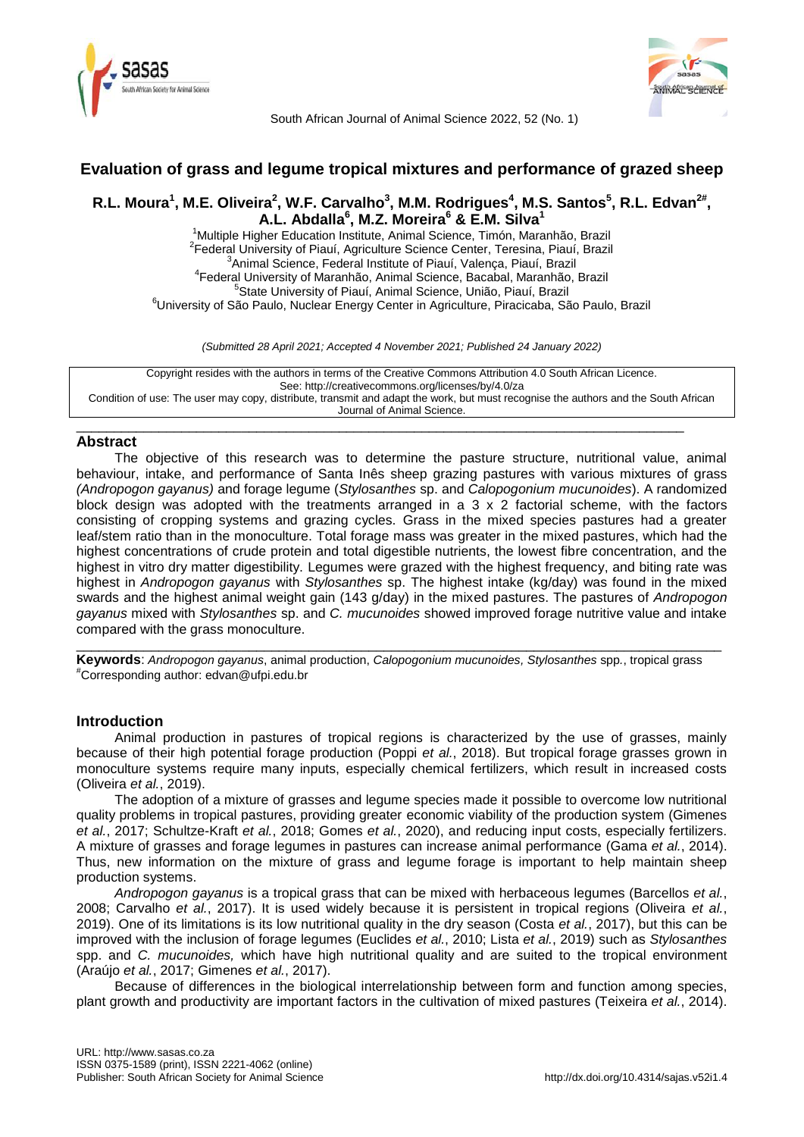



South African Journal of Animal Science 2022, 52 (No. 1)

# **Evaluation of grass and legume tropical mixtures and performance of grazed sheep**

# R.L. Moura<sup>1</sup>, M.E. Oliveira<sup>2</sup>, W.F. Carvalho<sup>3</sup>, M.M. Rodrigues<sup>4</sup>, M.S. Santos<sup>5</sup>, R.L. Edvan<sup>2#</sup>, **A.L. Abdalla<sup>6</sup> , M.Z. Moreira<sup>6</sup> & E.M. Silva<sup>1</sup>**

<sup>1</sup>Multiple Higher Education Institute, Animal Science, Timón, Maranhão, Brazil <sup>2</sup> Federal University of Piauí, Agriculture Science Center, Teresina, Piauí, Brazil Animal Science, Federal Institute of Piauí, Valença, Piauí, Brazil Federal University of Maranhão, Animal Science, Bacabal, Maranhão, Brazil State University of Piauí, Animal Science, União, Piauí, Brazil University of São Paulo, Nuclear Energy Center in Agriculture, Piracicaba, São Paulo, Brazil

*(Submitted 28 April 2021; Accepted 4 November 2021; Published 24 January 2022)*

Copyright resides with the authors in terms of the Creative Commons Attribution 4.0 South African Licence. See: http://creativecommons.org/licenses/by/4.0/za Condition of use: The user may copy, distribute, transmit and adapt the work, but must recognise the authors and the South African Journal of Animal Science.

\_\_\_\_\_\_\_\_\_\_\_\_\_\_\_\_\_\_\_\_\_\_\_\_\_\_\_\_\_\_\_\_\_\_\_\_\_\_\_\_\_\_\_\_\_\_\_\_\_\_\_\_\_\_\_\_\_\_\_\_\_\_\_\_\_\_\_\_\_\_\_\_\_\_\_\_\_\_\_\_\_

### **Abstract**

The objective of this research was to determine the pasture structure, nutritional value, animal behaviour, intake, and performance of Santa Inês sheep grazing pastures with various mixtures of grass *(Andropogon gayanus)* and forage legume (*Stylosanthes* sp. and *Calopogonium mucunoides*). A randomized block design was adopted with the treatments arranged in a 3 x 2 factorial scheme, with the factors consisting of cropping systems and grazing cycles. Grass in the mixed species pastures had a greater leaf/stem ratio than in the monoculture. Total forage mass was greater in the mixed pastures, which had the highest concentrations of crude protein and total digestible nutrients, the lowest fibre concentration, and the highest in vitro dry matter digestibility. Legumes were grazed with the highest frequency, and biting rate was highest in *Andropogon gayanus* with *Stylosanthes* sp. The highest intake (kg/day) was found in the mixed swards and the highest animal weight gain (143 g/day) in the mixed pastures. The pastures of *Andropogon gayanus* mixed with *Stylosanthes* sp. and *C. mucunoides* showed improved forage nutritive value and intake compared with the grass monoculture.

**Keywords**: *Andropogon gayanus*, animal production, *Calopogonium mucunoides, Stylosanthes* spp*.*, tropical grass #Corresponding author: [edvan@ufpi.edu.br](mailto:edvan@ufpi.edu.br)

\_\_\_\_\_\_\_\_\_\_\_\_\_\_\_\_\_\_\_\_\_\_\_\_\_\_\_\_\_\_\_\_\_\_\_\_\_\_\_\_\_\_\_\_\_\_\_\_\_\_\_\_\_\_\_\_\_\_\_\_\_\_\_\_\_\_\_\_\_\_\_\_\_\_\_\_\_\_\_\_\_\_\_\_\_\_

## **Introduction**

Animal production in pastures of tropical regions is characterized by the use of grasses, mainly because of their high potential forage production (Poppi *et al.*, 2018). But tropical forage grasses grown in monoculture systems require many inputs, especially chemical fertilizers, which result in increased costs (Oliveira *et al.*, 2019).

The adoption of a mixture of grasses and legume species made it possible to overcome low nutritional quality problems in tropical pastures, providing greater economic viability of the production system (Gimenes *et al.*, 2017; Schultze-Kraft *et al.*, 2018; Gomes *et al.*, 2020), and reducing input costs, especially fertilizers. A mixture of grasses and forage legumes in pastures can increase animal performance (Gama *et al.*, 2014). Thus, new information on the mixture of grass and legume forage is important to help maintain sheep production systems.

*Andropogon gayanus* is a tropical grass that can be mixed with herbaceous legumes (Barcellos *et al.*, 2008; Carvalho *et al.*, 2017). It is used widely because it is persistent in tropical regions (Oliveira *et al.*, 2019). One of its limitations is its low nutritional quality in the dry season (Costa *et al.*, 2017), but this can be improved with the inclusion of forage legumes (Euclides *et al.*, 2010; Lista *et al.*, 2019) such as *Stylosanthes* spp. and *C. mucunoides,* which have high nutritional quality and are suited to the tropical environment (Araújo *et al.*, 2017; Gimenes *et al.*, 2017).

Because of differences in the biological interrelationship between form and function among species, plant growth and productivity are important factors in the cultivation of mixed pastures (Teixeira *et al.*, 2014).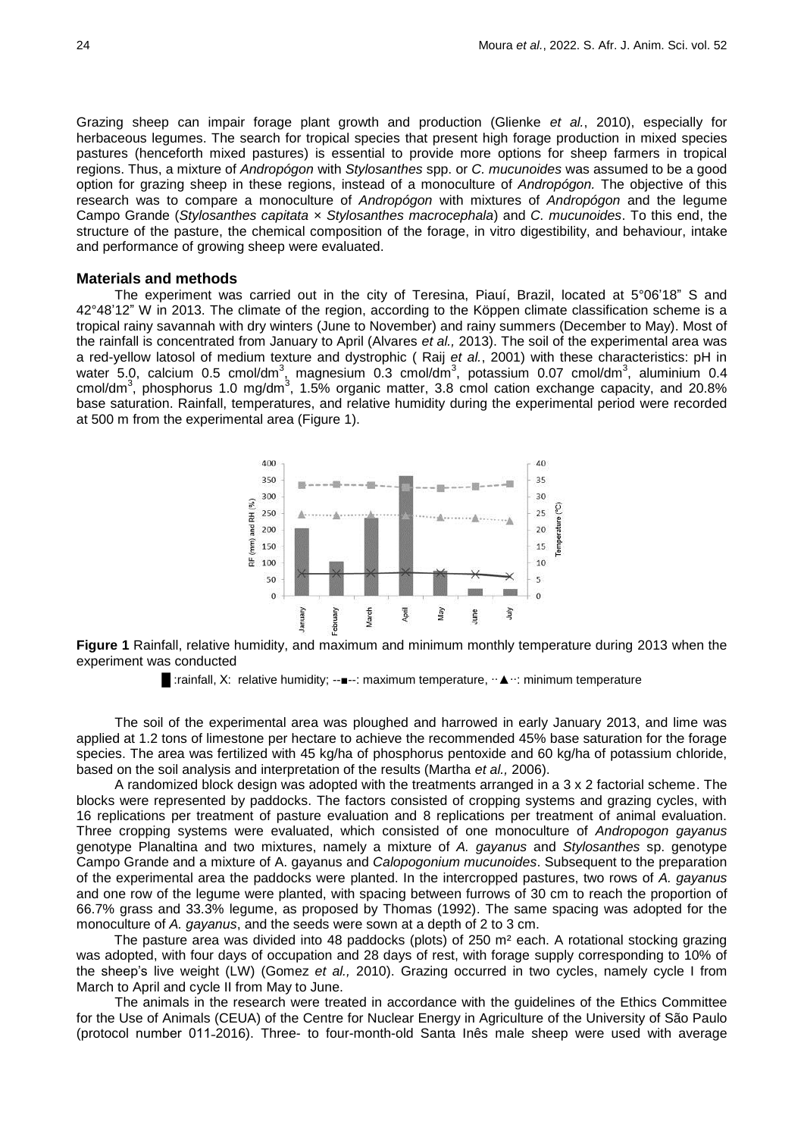Grazing sheep can impair forage plant growth and production (Glienke *et al.*, 2010), especially for herbaceous legumes. The search for tropical species that present high forage production in mixed species pastures (henceforth mixed pastures) is essential to provide more options for sheep farmers in tropical regions. Thus, a mixture of *Andropógon* with *Stylosanthes* spp. or *C. mucunoides* was assumed to be a good option for grazing sheep in these regions, instead of a monoculture of *Andropógon.* The objective of this research was to compare a monoculture of *Andropógon* with mixtures of *Andropógon* and the legume Campo Grande (*Stylosanthes capitata* × *Stylosanthes macrocephala*) and *C. mucunoides*. To this end, the structure of the pasture, the chemical composition of the forage, in vitro digestibility, and behaviour, intake and performance of growing sheep were evaluated.

#### **Materials and methods**

The experiment was carried out in the city of Teresina, Piauí, Brazil, located at 5°06'18" S and 42°48'12" W in 2013. The climate of the region, according to the Köppen climate classification scheme is a tropical rainy savannah with dry winters (June to November) and rainy summers (December to May). Most of the rainfall is concentrated from January to April (Alvares *et al.,* 2013). The soil of the experimental area was a red-yellow latosol of medium texture and dystrophic ( Raij *et al.*, 2001) with these characteristics: pH in water 5.0, calcium 0.5 cmol/dm<sup>3</sup>, magnesium 0.3 cmol/dm<sup>3</sup>, potassium 0.07 cmol/dm<sup>3</sup>, aluminium 0.4 cmol/dm<sup>3</sup>, phosphorus 1.0 mg/dm<sup>3</sup>, 1.5% organic matter, 3.8 cmol cation exchange capacity, and 20.8% base saturation. Rainfall, temperatures, and relative humidity during the experimental period were recorded at 500 m from the experimental area (Figure 1).



**Figure 1** Rainfall, relative humidity, and maximum and minimum monthly temperature during 2013 when the experiment was conducted

The soil of the experimental area was ploughed and harrowed in early January 2013, and lime was applied at 1.2 tons of limestone per hectare to achieve the recommended 45% base saturation for the forage species. The area was fertilized with 45 kg/ha of phosphorus pentoxide and 60 kg/ha of potassium chloride, based on the soil analysis and interpretation of the results (Martha *et al.,* 2006).

A randomized block design was adopted with the treatments arranged in a 3 x 2 factorial scheme. The blocks were represented by paddocks. The factors consisted of cropping systems and grazing cycles, with 16 replications per treatment of pasture evaluation and 8 replications per treatment of animal evaluation. Three cropping systems were evaluated, which consisted of one monoculture of *Andropogon gayanus* genotype Planaltina and two mixtures, namely a mixture of *A. gayanus* and *Stylosanthes* sp. genotype Campo Grande and a mixture of A. gayanus and *Calopogonium mucunoides*. Subsequent to the preparation of the experimental area the paddocks were planted. In the intercropped pastures, two rows of *A. gayanus* and one row of the legume were planted, with spacing between furrows of 30 cm to reach the proportion of 66.7% grass and 33.3% legume, as proposed by Thomas (1992). The same spacing was adopted for the monoculture of *A. gayanus*, and the seeds were sown at a depth of 2 to 3 cm.

The pasture area was divided into 48 paddocks (plots) of 250 m² each. A rotational stocking grazing was adopted, with four days of occupation and 28 days of rest, with forage supply corresponding to 10% of the sheep's live weight (LW) (Gomez *et al.,* 2010). Grazing occurred in two cycles, namely cycle I from March to April and cycle II from May to June.

The animals in the research were treated in accordance with the guidelines of the Ethics Committee for the Use of Animals (CEUA) of the Centre for Nuclear Energy in Agriculture of the University of São Paulo (protocol number 011-2016). Three- to four-month-old Santa Inês male sheep were used with average

**<sup>■</sup>** :rainfall, X: relative humidity; --■--: maximum temperature, ·· ▲ ··: minimum temperature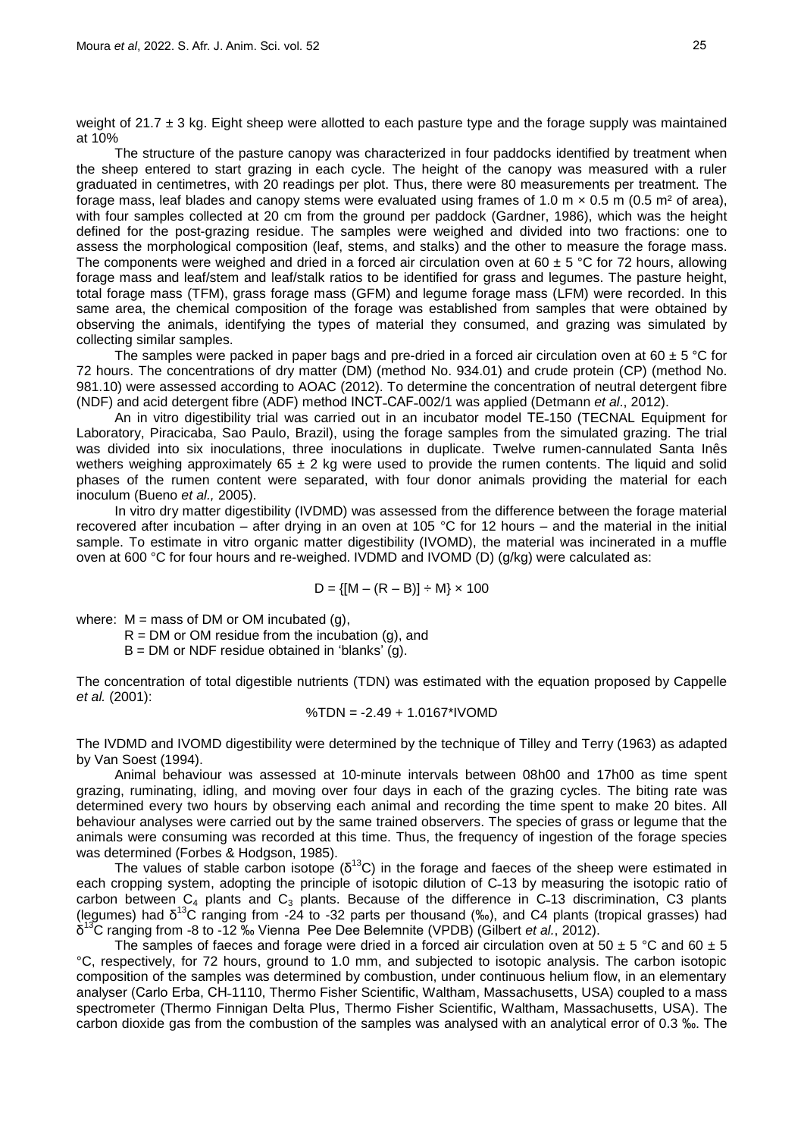weight of 21.7  $\pm$  3 kg. Eight sheep were allotted to each pasture type and the forage supply was maintained at 10%

The structure of the pasture canopy was characterized in four paddocks identified by treatment when the sheep entered to start grazing in each cycle. The height of the canopy was measured with a ruler graduated in centimetres, with 20 readings per plot. Thus, there were 80 measurements per treatment. The forage mass, leaf blades and canopy stems were evaluated using frames of 1.0 m  $\times$  0.5 m (0.5 m<sup>2</sup> of area), with four samples collected at 20 cm from the ground per paddock (Gardner, 1986), which was the height defined for the post-grazing residue. The samples were weighed and divided into two fractions: one to assess the morphological composition (leaf, stems, and stalks) and the other to measure the forage mass. The components were weighed and dried in a forced air circulation oven at 60  $\pm$  5 °C for 72 hours, allowing forage mass and leaf/stem and leaf/stalk ratios to be identified for grass and legumes. The pasture height, total forage mass (TFM), grass forage mass (GFM) and legume forage mass (LFM) were recorded. In this same area, the chemical composition of the forage was established from samples that were obtained by observing the animals, identifying the types of material they consumed, and grazing was simulated by collecting similar samples.

The samples were packed in paper bags and pre-dried in a forced air circulation oven at 60  $\pm$  5 °C for 72 hours. The concentrations of dry matter (DM) (method No. 934.01) and crude protein (CP) (method No. 981.10) were assessed according to AOAC (2012). To determine the concentration of neutral detergent fibre (NDF) and acid detergent fibre (ADF) method INCT-CAF-002/1 was applied (Detmann *et al.*, 2012).

An in vitro digestibility trial was carried out in an incubator model TE-150 (TECNAL Equipment for Laboratory, Piracicaba, Sao Paulo, Brazil), using the forage samples from the simulated grazing. The trial was divided into six inoculations, three inoculations in duplicate. Twelve rumen-cannulated Santa Inês wethers weighing approximately 65  $\pm$  2 kg were used to provide the rumen contents. The liquid and solid phases of the rumen content were separated, with four donor animals providing the material for each inoculum (Bueno *et al.,* 2005).

In vitro dry matter digestibility (IVDMD) was assessed from the difference between the forage material recovered after incubation – after drying in an oven at 105 °C for 12 hours – and the material in the initial sample. To estimate in vitro organic matter digestibility (IVOMD), the material was incinerated in a muffle oven at 600 °C for four hours and re-weighed. IVDMD and IVOMD (D) (g/kg) were calculated as:

$$
D = \{ [M - (R - B)] \div M \} \times 100
$$

where:  $M =$  mass of DM or OM incubated (g),

 $R = DM$  or OM residue from the incubation (q), and

 $B = DM$  or NDF residue obtained in 'blanks' (g).

The concentration of total digestible nutrients (TDN) was estimated with the equation proposed by Cappelle *et al.* (2001):

$$
\%TDN = -2.49 + 1.0167^*IVOMD
$$

The IVDMD and IVOMD digestibility were determined by the technique of Tilley and Terry (1963) as adapted by Van Soest (1994).

Animal behaviour was assessed at 10-minute intervals between 08h00 and 17h00 as time spent grazing, ruminating, idling, and moving over four days in each of the grazing cycles. The biting rate was determined every two hours by observing each animal and recording the time spent to make 20 bites. All behaviour analyses were carried out by the same trained observers. The species of grass or legume that the animals were consuming was recorded at this time. Thus, the frequency of ingestion of the forage species was determined (Forbes & Hodgson, 1985).

The values of stable carbon isotope  $(\delta^{13}C)$  in the forage and faeces of the sheep were estimated in each cropping system, adopting the principle of isotopic dilution of C-13 by measuring the isotopic ratio of carbon between  $C_4$  plants and  $C_3$  plants. Because of the difference in C-13 discrimination, C3 plants (legumes) had δ <sup>13</sup>C ranging from -24 to -32 parts per thousand (‰), and C4 plants (tropical grasses) had δ <sup>13</sup>C ranging from -8 to -12 ‰ Vienna Pee Dee Belemnite (VPDB) (Gilbert *et al.*, 2012).

The samples of faeces and forage were dried in a forced air circulation oven at 50  $\pm$  5 °C and 60  $\pm$  5 °C, respectively, for 72 hours, ground to 1.0 mm, and subjected to isotopic analysis. The carbon isotopic composition of the samples was determined by combustion, under continuous helium flow, in an elementary analyser (Carlo Erba, CH-1110, Thermo Fisher Scientific, Waltham, Massachusetts, USA) coupled to a mass spectrometer (Thermo Finnigan Delta Plus, Thermo Fisher Scientific, Waltham, Massachusetts, USA). The carbon dioxide gas from the combustion of the samples was analysed with an analytical error of 0.3 ‰. The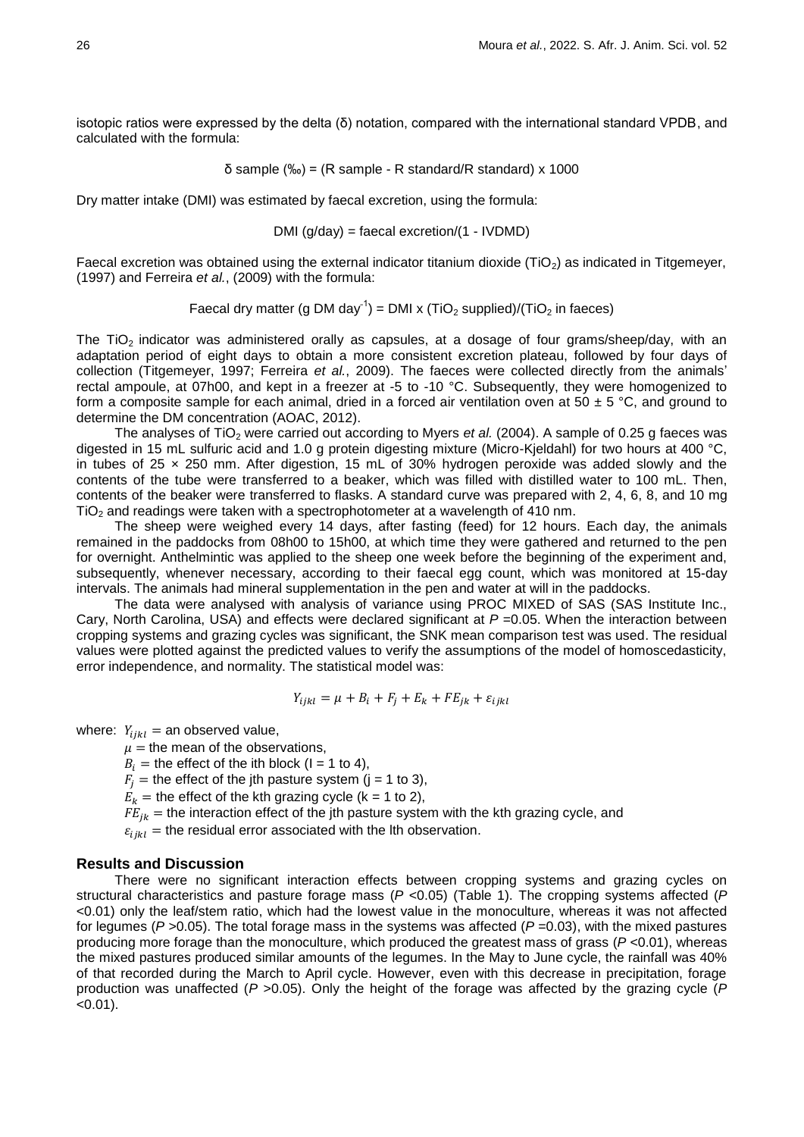isotopic ratios were expressed by the delta (δ) notation, compared with the international standard VPDB, and calculated with the formula:

$$
\delta \text{ sample } (\%_{0}) = (R \text{ sample - R standard/R standard}) \times 1000
$$

Dry matter intake (DMI) was estimated by faecal excretion, using the formula:

DMI (g/day) = faecal excretion/(1 - IVDMD)

Faecal excretion was obtained using the external indicator titanium dioxide (TiO<sub>2</sub>) as indicated in Titgemeyer, (1997) and Ferreira *et al.*, (2009) with the formula:

Faecal dry matter (g DM day<sup>-1</sup>) = DMI x (TiO<sub>2</sub> supplied)/(TiO<sub>2</sub> in faeces)

The TiO<sub>2</sub> indicator was administered orally as capsules, at a dosage of four grams/sheep/day, with an adaptation period of eight days to obtain a more consistent excretion plateau, followed by four days of collection (Titgemeyer, 1997; Ferreira *et al.*, 2009). The faeces were collected directly from the animals' rectal ampoule, at 07h00, and kept in a freezer at -5 to -10 °C. Subsequently, they were homogenized to form a composite sample for each animal, dried in a forced air ventilation oven at 50  $\pm$  5 °C, and ground to determine the DM concentration (AOAC, 2012).

The analyses of TiO<sub>2</sub> were carried out according to Myers *et al.* (2004). A sample of 0.25 g faeces was digested in 15 mL sulfuric acid and 1.0 g protein digesting mixture (Micro-Kjeldahl) for two hours at 400 °C, in tubes of 25 × 250 mm. After digestion, 15 mL of 30% hydrogen peroxide was added slowly and the contents of the tube were transferred to a beaker, which was filled with distilled water to 100 mL. Then, contents of the beaker were transferred to flasks. A standard curve was prepared with 2, 4, 6, 8, and 10 mg TiO<sub>2</sub> and readings were taken with a spectrophotometer at a wavelength of 410 nm.

The sheep were weighed every 14 days, after fasting (feed) for 12 hours. Each day, the animals remained in the paddocks from 08h00 to 15h00, at which time they were gathered and returned to the pen for overnight. Anthelmintic was applied to the sheep one week before the beginning of the experiment and, subsequently, whenever necessary, according to their faecal egg count, which was monitored at 15-day intervals. The animals had mineral supplementation in the pen and water at will in the paddocks.

The data were analysed with analysis of variance using PROC MIXED of SAS (SAS Institute Inc., Cary, North Carolina, USA) and effects were declared significant at *P* = 0.05. When the interaction between cropping systems and grazing cycles was significant, the SNK mean comparison test was used. The residual values were plotted against the predicted values to verify the assumptions of the model of homoscedasticity, error independence, and normality. The statistical model was:

$$
Y_{ijkl} = \mu + B_i + F_j + E_k + FE_{ik} + \varepsilon_{ijkl}
$$

where:  $Y_{iikl}$  = an observed value,

 $\mu$  = the mean of the observations,

 $B_i$  = the effect of the ith block (I = 1 to 4),

 $F_i$  = the effect of the jth pasture system (j = 1 to 3),

 $E_k$  = the effect of the kth grazing cycle (k = 1 to 2),

 $FE_{ik}$  = the interaction effect of the jth pasture system with the kth grazing cycle, and

 $\varepsilon_{iikl}$  = the residual error associated with the lth observation.

#### **Results and Discussion**

There were no significant interaction effects between cropping systems and grazing cycles on structural characteristics and pasture forage mass (*P* <0.05) (Table 1). The cropping systems affected (*P* <0.01) only the leaf/stem ratio, which had the lowest value in the monoculture, whereas it was not affected for legumes ( $P > 0.05$ ). The total forage mass in the systems was affected ( $P = 0.03$ ), with the mixed pastures producing more forage than the monoculture, which produced the greatest mass of grass (*P* <0.01), whereas the mixed pastures produced similar amounts of the legumes. In the May to June cycle, the rainfall was 40% of that recorded during the March to April cycle. However, even with this decrease in precipitation, forage production was unaffected (*P* >0.05). Only the height of the forage was affected by the grazing cycle (*P*  $< 0.01$ ).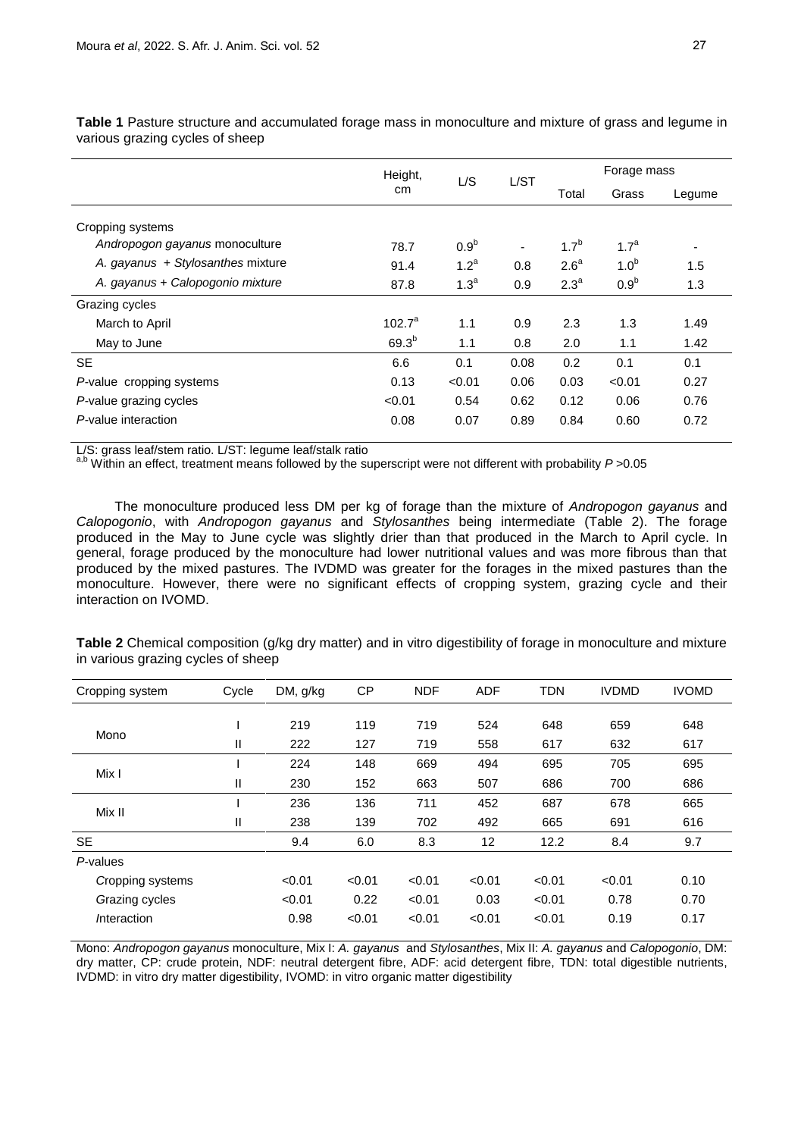|                                   | Height,    | L/S              | L/ST | Forage mass      |                  |        |
|-----------------------------------|------------|------------------|------|------------------|------------------|--------|
|                                   | cm         |                  |      | Total            | Grass            | Legume |
| Cropping systems                  |            |                  |      |                  |                  |        |
| Andropogon gayanus monoculture    | 78.7       | 0.9 <sup>b</sup> |      | 1.7 <sup>b</sup> | 1.7 <sup>a</sup> | ٠      |
| A. gayanus + Stylosanthes mixture | 91.4       | 1.2 <sup>a</sup> | 0.8  | 2.6 <sup>a</sup> | 1.0 <sup>b</sup> | 1.5    |
| A. gayanus + Calopogonio mixture  | 87.8       | 1.3 <sup>a</sup> | 0.9  | 2.3 <sup>a</sup> | 0.9 <sup>b</sup> | 1.3    |
| Grazing cycles                    |            |                  |      |                  |                  |        |
| March to April                    | $102.7^a$  | 1.1              | 0.9  | 2.3              | 1.3              | 1.49   |
| May to June                       | $69.3^{b}$ | 1.1              | 0.8  | 2.0              | 1.1              | 1.42   |
| <b>SE</b>                         | 6.6        | 0.1              | 0.08 | 0.2              | 0.1              | 0.1    |
| P-value cropping systems          | 0.13       | < 0.01           | 0.06 | 0.03             | < 0.01           | 0.27   |
| P-value grazing cycles            | < 0.01     | 0.54             | 0.62 | 0.12             | 0.06             | 0.76   |
| P-value interaction               | 0.08       | 0.07             | 0.89 | 0.84             | 0.60             | 0.72   |

**Table 1** Pasture structure and accumulated forage mass in monoculture and mixture of grass and legume in various grazing cycles of sheep

L/S: grass leaf/stem ratio. L/ST: legume leaf/stalk ratio

Within an effect, treatment means followed by the superscript were not different with probability *P* >0.05

The monoculture produced less DM per kg of forage than the mixture of *Andropogon gayanus* and *Calopogonio*, with *Andropogon gayanus* and *Stylosanthes* being intermediate (Table 2). The forage produced in the May to June cycle was slightly drier than that produced in the March to April cycle. In general, forage produced by the monoculture had lower nutritional values and was more fibrous than that produced by the mixed pastures. The IVDMD was greater for the forages in the mixed pastures than the monoculture. However, there were no significant effects of cropping system, grazing cycle and their interaction on IVOMD.

**Table 2** Chemical composition (g/kg dry matter) and in vitro digestibility of forage in monoculture and mixture in various grazing cycles of sheep

| Cropping system     | Cycle        | DM, g/kg | СP     | <b>NDF</b> | <b>ADF</b> | <b>TDN</b> | <b>IVDMD</b> | <b>IVOMD</b> |
|---------------------|--------------|----------|--------|------------|------------|------------|--------------|--------------|
|                     |              |          |        |            |            |            |              |              |
| Mono                |              | 219      | 119    | 719        | 524        | 648        | 659          | 648          |
|                     | Ш            | 222      | 127    | 719        | 558        | 617        | 632          | 617          |
| Mix I               |              | 224      | 148    | 669        | 494        | 695        | 705          | 695          |
|                     | $\mathbf{H}$ | 230      | 152    | 663        | 507        | 686        | 700          | 686          |
| Mix II              |              | 236      | 136    | 711        | 452        | 687        | 678          | 665          |
|                     | Ш            | 238      | 139    | 702        | 492        | 665        | 691          | 616          |
| <b>SE</b>           |              | 9.4      | 6.0    | 8.3        | 12         | 12.2       | 8.4          | 9.7          |
| P-values            |              |          |        |            |            |            |              |              |
| Cropping systems    |              | < 0.01   | < 0.01 | < 0.01     | < 0.01     | < 0.01     | < 0.01       | 0.10         |
| Grazing cycles      |              | < 0.01   | 0.22   | < 0.01     | 0.03       | < 0.01     | 0.78         | 0.70         |
| <i>I</i> nteraction |              | 0.98     | < 0.01 | < 0.01     | < 0.01     | < 0.01     | 0.19         | 0.17         |

Mono: *Andropogon gayanus* monoculture, Mix I: *A. gayanus* and *Stylosanthes*, Mix II: *A. gayanus* and *Calopogonio*, DM: dry matter, CP: crude protein, NDF: neutral detergent fibre, ADF: acid detergent fibre, TDN: total digestible nutrients, IVDMD: in vitro dry matter digestibility, IVOMD: in vitro organic matter digestibility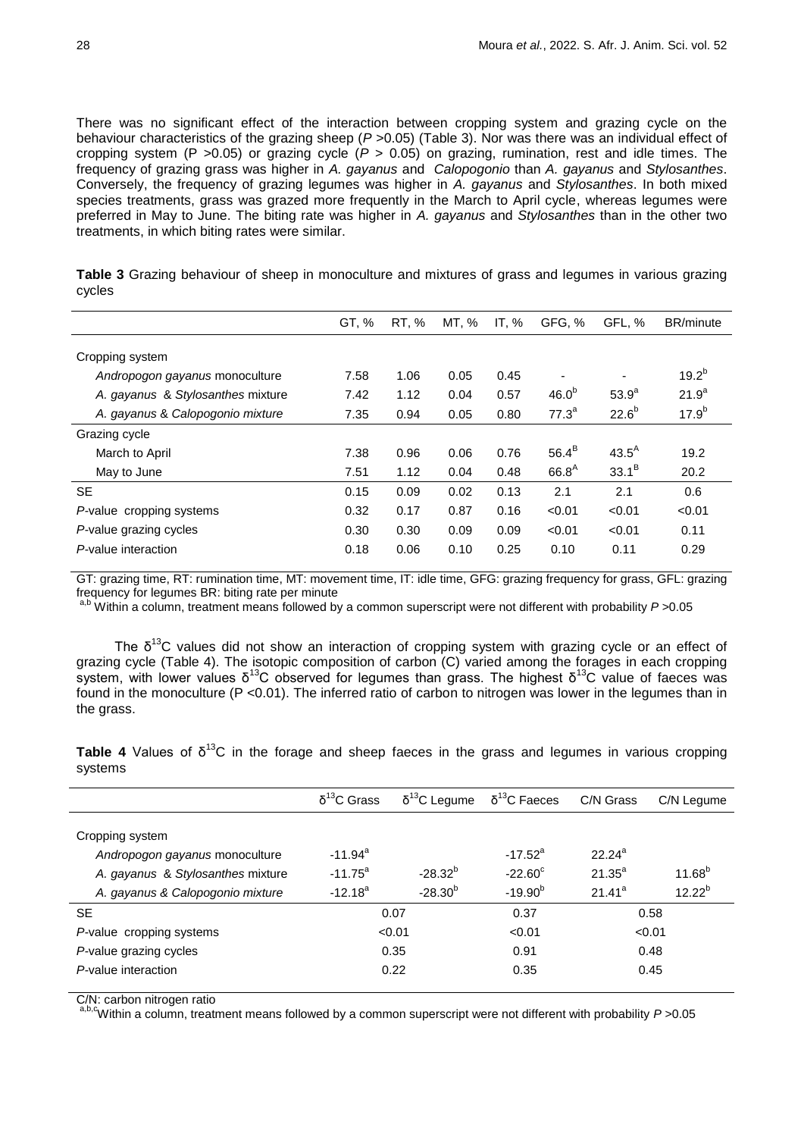There was no significant effect of the interaction between cropping system and grazing cycle on the behaviour characteristics of the grazing sheep (*P* >0.05) (Table 3). Nor was there was an individual effect of cropping system (P >0.05) or grazing cycle (*P* > 0.05) on grazing, rumination, rest and idle times. The frequency of grazing grass was higher in *A. gayanus* and *Calopogonio* than *A. gayanus* and *Stylosanthes*. Conversely, the frequency of grazing legumes was higher in *A. gayanus* and *Stylosanthes*. In both mixed species treatments, grass was grazed more frequently in the March to April cycle, whereas legumes were preferred in May to June. The biting rate was higher in *A. gayanus* and *Stylosanthes* than in the other two treatments, in which biting rates were similar.

| GT, % | RT, % | MT, % | IT, $%$ | GFG, %            | GFL.%      | <b>BR/minute</b> |
|-------|-------|-------|---------|-------------------|------------|------------------|
|       |       |       |         |                   |            |                  |
| 7.58  | 1.06  | 0.05  | 0.45    |                   |            | $19.2^{b}$       |
| 7.42  | 1.12  | 0.04  | 0.57    | 46.0 <sup>b</sup> | $53.9^{a}$ | $21.9^{a}$       |
| 7.35  | 0.94  | 0.05  | 0.80    | $77.3^a$          | $22.6^{b}$ | $17.9^{b}$       |
|       |       |       |         |                   |            |                  |
| 7.38  | 0.96  | 0.06  | 0.76    | $56.4^B$          | $43.5^A$   | 19.2             |
| 7.51  | 1.12  | 0.04  | 0.48    | $66.8^{A}$        | $33.1^{B}$ | 20.2             |
| 0.15  | 0.09  | 0.02  | 0.13    | 2.1               | 2.1        | 0.6              |
| 0.32  | 0.17  | 0.87  | 0.16    | < 0.01            | < 0.01     | < 0.01           |
| 0.30  | 0.30  | 0.09  | 0.09    | < 0.01            | < 0.01     | 0.11             |
| 0.18  | 0.06  | 0.10  | 0.25    | 0.10              | 0.11       | 0.29             |
|       |       |       |         |                   |            |                  |

**Table 3** Grazing behaviour of sheep in monoculture and mixtures of grass and legumes in various grazing cycles

GT: grazing time, RT: rumination time, MT: movement time, IT: idle time, GFG: grazing frequency for grass, GFL: grazing frequency for legumes BR: biting rate per minute

a,b Within a column, treatment means followed by a common superscript were not different with probability *P* >0.05

The  $\delta^{13}$ C values did not show an interaction of cropping system with grazing cycle or an effect of grazing cycle (Table 4). The isotopic composition of carbon (C) varied among the forages in each cropping system, with lower values  $δ^{13}C$  observed for legumes than grass. The highest  $δ^{13}C$  value of faeces was found in the monoculture (P <0.01). The inferred ratio of carbon to nitrogen was lower in the legumes than in the grass.

**Table 4** Values of  $\delta^{13}$ C in the forage and sheep faeces in the grass and legumes in various cropping systems

|                                                   | $δ13$ C Grass         | $\delta^{13}$ C Legume | $\delta^{13}$ C Faeces | C/N Grass   | C/N Legume  |
|---------------------------------------------------|-----------------------|------------------------|------------------------|-------------|-------------|
| Cropping system<br>Andropogon gayanus monoculture | $-11.94$ <sup>a</sup> |                        | $-17.52^a$             | $22.24^a$   |             |
| A. gayanus & Stylosanthes mixture                 | $-11.75^{\circ}$      | $-28.32^{b}$           | $-22.60^{\circ}$       | $21.35^{a}$ | $11.68^{b}$ |
| A. gayanus & Calopogonio mixture                  | $-12.18^{a}$          | $-28.30^{b}$           | $-19.90^{b}$           | $21.41^a$   | $12.22^{b}$ |
| <b>SE</b>                                         |                       | 0.07                   | 0.37                   |             | 0.58        |
| P-value cropping systems                          |                       | < 0.01                 | < 0.01                 |             | < 0.01      |
| P-value grazing cycles                            |                       | 0.35                   | 0.91                   |             | 0.48        |
| P-value interaction                               |                       | 0.22                   | 0.35                   |             | 0.45        |

C/N: carbon nitrogen ratio

a,b,cWithin a column, treatment means followed by a common superscript were not different with probability *P* >0.05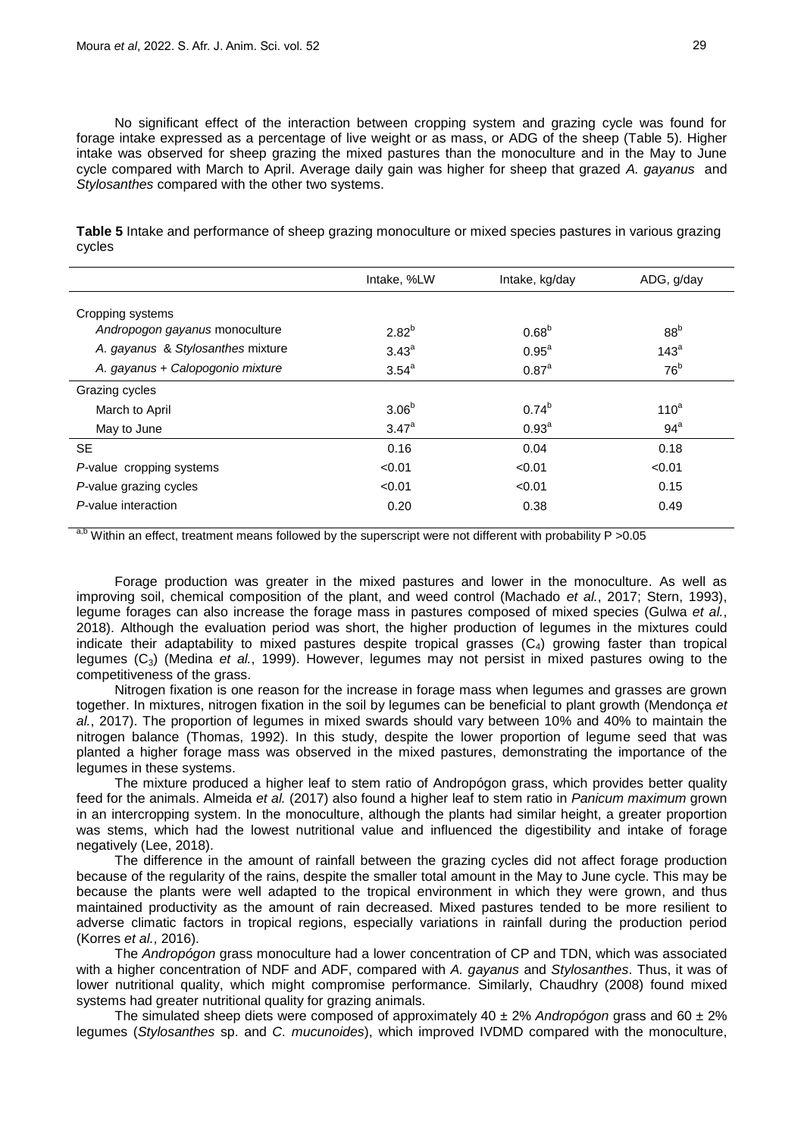No significant effect of the interaction between cropping system and grazing cycle was found for forage intake expressed as a percentage of live weight or as mass, or ADG of the sheep (Table 5). Higher intake was observed for sheep grazing the mixed pastures than the monoculture and in the May to June cycle compared with March to April. Average daily gain was higher for sheep that grazed *A. gayanus* and *Stylosanthes* compared with the other two systems.

**Table 5** Intake and performance of sheep grazing monoculture or mixed species pastures in various grazing cycles

|                                   | Intake, %LW       | Intake, kg/day      | ADG, g/day       |
|-----------------------------------|-------------------|---------------------|------------------|
| Cropping systems                  |                   |                     |                  |
| Andropogon gayanus monoculture    | $2.82^{b}$        | $0.68^{b}$          | 88 <sup>b</sup>  |
| A. gayanus & Stylosanthes mixture | 3.43 <sup>a</sup> | $0.95^{\text{a}}$   | 143 <sup>a</sup> |
| A. gayanus + Calopogonio mixture  | $3.54^{\circ}$    | $0.87$ <sup>a</sup> | 76 <sup>b</sup>  |
| Grazing cycles                    |                   |                     |                  |
| March to April                    | 3.06 <sup>b</sup> | $0.74^{b}$          | 110 <sup>a</sup> |
| May to June                       | $3.47^{\circ}$    | 0.93 <sup>a</sup>   | $94^a$           |
| <b>SE</b>                         | 0.16              | 0.04                | 0.18             |
| P-value cropping systems          | < 0.01            | < 0.01              | < 0.01           |
| P-value grazing cycles            | < 0.01            | < 0.01              | 0.15             |
| P-value interaction               | 0.20              | 0.38                | 0.49             |

<sup>a,b</sup> Within an effect, treatment means followed by the superscript were not different with probability  $P > 0.05$ 

Forage production was greater in the mixed pastures and lower in the monoculture. As well as improving soil, chemical composition of the plant, and weed control (Machado *et al.*, 2017; Stern, 1993), legume forages can also increase the forage mass in pastures composed of mixed species (Gulwa *et al.*, 2018). Although the evaluation period was short, the higher production of legumes in the mixtures could indicate their adaptability to mixed pastures despite tropical grasses  $(C_4)$  growing faster than tropical legumes (C3) (Medina *et al.*, 1999). However, legumes may not persist in mixed pastures owing to the competitiveness of the grass.

Nitrogen fixation is one reason for the increase in forage mass when legumes and grasses are grown together. In mixtures, nitrogen fixation in the soil by legumes can be beneficial to plant growth (Mendonça *et al.*, 2017). The proportion of legumes in mixed swards should vary between 10% and 40% to maintain the nitrogen balance (Thomas, 1992). In this study, despite the lower proportion of legume seed that was planted a higher forage mass was observed in the mixed pastures, demonstrating the importance of the legumes in these systems.

The mixture produced a higher leaf to stem ratio of Andropógon grass, which provides better quality feed for the animals. Almeida *et al.* (2017) also found a higher leaf to stem ratio in *Panicum maximum* grown in an intercropping system. In the monoculture, although the plants had similar height, a greater proportion was stems, which had the lowest nutritional value and influenced the digestibility and intake of forage negatively (Lee, 2018).

The difference in the amount of rainfall between the grazing cycles did not affect forage production because of the regularity of the rains, despite the smaller total amount in the May to June cycle. This may be because the plants were well adapted to the tropical environment in which they were grown, and thus maintained productivity as the amount of rain decreased. Mixed pastures tended to be more resilient to adverse climatic factors in tropical regions, especially variations in rainfall during the production period (Korres *et al.*, 2016).

The *Andropógon* grass monoculture had a lower concentration of CP and TDN, which was associated with a higher concentration of NDF and ADF, compared with *A. gayanus* and *Stylosanthes*. Thus, it was of lower nutritional quality, which might compromise performance. Similarly, Chaudhry (2008) found mixed systems had greater nutritional quality for grazing animals.

The simulated sheep diets were composed of approximately 40 ± 2% *Andropógon* grass and 60 ± 2% legumes (*Stylosanthes* sp. and *C. mucunoides*), which improved IVDMD compared with the monoculture,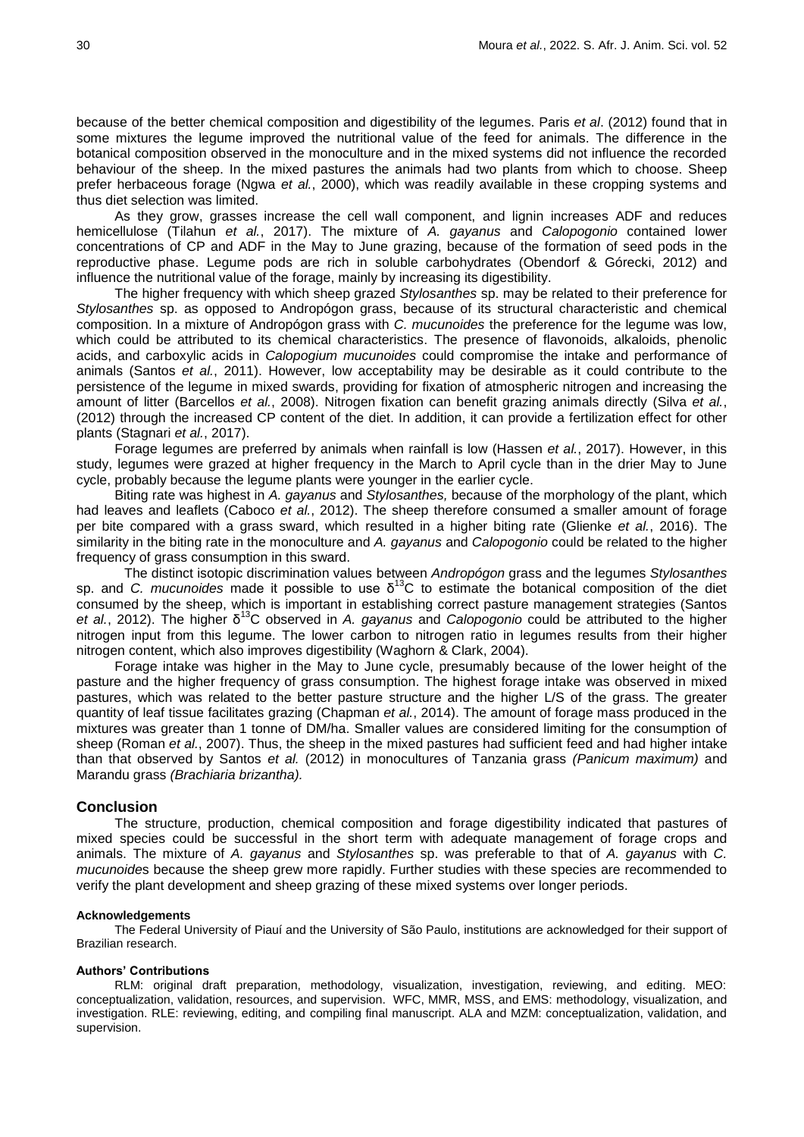because of the better chemical composition and digestibility of the legumes. Paris *et al*. (2012) found that in some mixtures the legume improved the nutritional value of the feed for animals. The difference in the botanical composition observed in the monoculture and in the mixed systems did not influence the recorded behaviour of the sheep. In the mixed pastures the animals had two plants from which to choose. Sheep prefer herbaceous forage (Ngwa *et al.*, 2000), which was readily available in these cropping systems and thus diet selection was limited.

As they grow, grasses increase the cell wall component, and lignin increases ADF and reduces hemicellulose (Tilahun *et al.*, 2017). The mixture of *A. gayanus* and *Calopogonio* contained lower concentrations of CP and ADF in the May to June grazing, because of the formation of seed pods in the reproductive phase. Legume pods are rich in soluble carbohydrates (Obendorf & Górecki, 2012) and influence the nutritional value of the forage, mainly by increasing its digestibility.

The higher frequency with which sheep grazed *Stylosanthes* sp. may be related to their preference for *Stylosanthes* sp. as opposed to Andropógon grass, because of its structural characteristic and chemical composition. In a mixture of Andropógon grass with *C. mucunoides* the preference for the legume was low, which could be attributed to its chemical characteristics. The presence of flavonoids, alkaloids, phenolic acids, and carboxylic acids in *Calopogium mucunoides* could compromise the intake and performance of animals (Santos *et al.*, 2011). However, low acceptability may be desirable as it could contribute to the persistence of the legume in mixed swards, providing for fixation of atmospheric nitrogen and increasing the amount of litter (Barcellos *et al.*, 2008). Nitrogen fixation can benefit grazing animals directly (Silva *et al.*, (2012) through the increased CP content of the diet. In addition, it can provide a fertilization effect for other plants (Stagnari *et al.*, 2017).

Forage legumes are preferred by animals when rainfall is low (Hassen *et al.*, 2017). However, in this study, legumes were grazed at higher frequency in the March to April cycle than in the drier May to June cycle, probably because the legume plants were younger in the earlier cycle.

Biting rate was highest in *A. gayanus* and *Stylosanthes,* because of the morphology of the plant, which had leaves and leaflets (Caboco *et al.*, 2012). The sheep therefore consumed a smaller amount of forage per bite compared with a grass sward, which resulted in a higher biting rate (Glienke *et al.*, 2016). The similarity in the biting rate in the monoculture and *A. gayanus* and *Calopogonio* could be related to the higher frequency of grass consumption in this sward.

The distinct isotopic discrimination values between *Andropógon* grass and the legumes *Stylosanthes* sp. and *C. mucunoides* made it possible to use  $\delta^{13}$ C to estimate the botanical composition of the diet consumed by the sheep, which is important in establishing correct pasture management strategies (Santos *et al.*, 2012). The higher δ <sup>13</sup>C observed in *A. gayanus* and *Calopogonio* could be attributed to the higher nitrogen input from this legume. The lower carbon to nitrogen ratio in legumes results from their higher nitrogen content, which also improves digestibility (Waghorn & Clark, 2004).

Forage intake was higher in the May to June cycle, presumably because of the lower height of the pasture and the higher frequency of grass consumption. The highest forage intake was observed in mixed pastures, which was related to the better pasture structure and the higher L/S of the grass. The greater quantity of leaf tissue facilitates grazing (Chapman *et al.*, 2014). The amount of forage mass produced in the mixtures was greater than 1 tonne of DM/ha. Smaller values are considered limiting for the consumption of sheep (Roman *et al.*, 2007). Thus, the sheep in the mixed pastures had sufficient feed and had higher intake than that observed by Santos *et al.* (2012) in monocultures of Tanzania grass *(Panicum maximum)* and Marandu grass *(Brachiaria brizantha).*

#### **Conclusion**

The structure, production, chemical composition and forage digestibility indicated that pastures of mixed species could be successful in the short term with adequate management of forage crops and animals. The mixture of *A. gayanus* and *Stylosanthes* sp. was preferable to that of *A. gayanus* with *C. mucunoide*s because the sheep grew more rapidly. Further studies with these species are recommended to verify the plant development and sheep grazing of these mixed systems over longer periods.

#### **Acknowledgements**

The Federal University of Piauí and the University of São Paulo, institutions are acknowledged for their support of Brazilian research.

### **Authors' Contributions**

RLM: original draft preparation, methodology, visualization, investigation, reviewing, and editing. MEO: conceptualization, validation, resources, and supervision. WFC, MMR, MSS, and EMS: methodology, visualization, and investigation. RLE: reviewing, editing, and compiling final manuscript. ALA and MZM: conceptualization, validation, and supervision.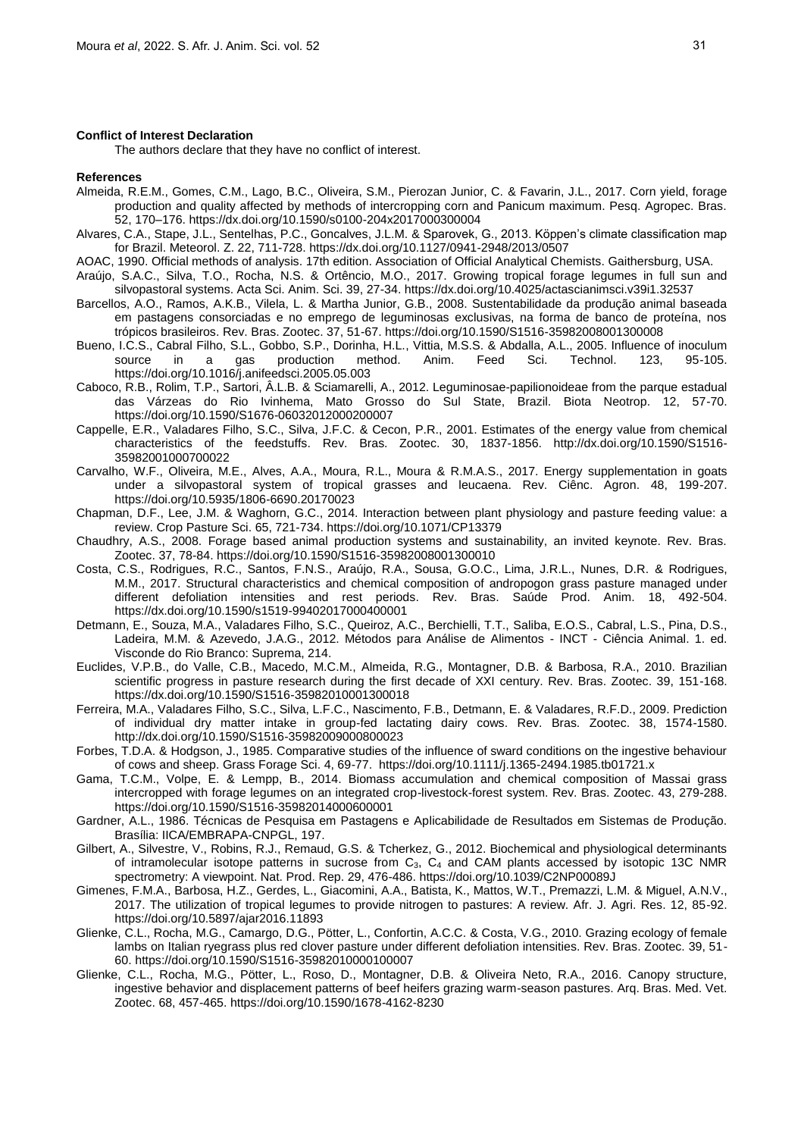#### **Conflict of Interest Declaration**

The authors declare that they have no conflict of interest.

#### **References**

- Almeida, R.E.M., Gomes, C.M., Lago, B.C., Oliveira, S.M., Pierozan Junior, C. & Favarin, J.L., 2017. Corn yield, forage production and quality affected by methods of intercropping corn and Panicum maximum. Pesq. Agropec. Bras. 52, 170–176. https://dx.doi.org/10.1590/s0100-204x2017000300004
- Alvares, C.A., Stape, J.L., Sentelhas, P.C., Goncalves, J.L.M. & Sparovek, G., 2013. Köppen's climate classification map for Brazil. Meteorol. Z. 22, 711-728. https://dx.doi.org/10.1127/0941-2948/2013/0507
- AOAC, 1990. Official methods of analysis. 17th edition. Association of Official Analytical Chemists. Gaithersburg, USA.
- Araújo, S.A.C., Silva, T.O., Rocha, N.S. & Ortêncio, M.O., 2017. Growing tropical forage legumes in full sun and silvopastoral systems. Acta Sci. Anim. Sci. 39, 27-34. https://dx.doi.org/10.4025/actascianimsci.v39i1.32537
- Barcellos, A.O., Ramos, A.K.B., Vilela, L. & Martha Junior, G.B., 2008. Sustentabilidade da produção animal baseada em pastagens consorciadas e no emprego de leguminosas exclusivas, na forma de banco de proteína, nos trópicos brasileiros. Rev. Bras. Zootec. 37, 51-67. https://doi.org/10.1590/S1516-35982008001300008
- Bueno, I.C.S., Cabral Filho, S.L., Gobbo, S.P., Dorinha, H.L., Vittia, M.S.S. & Abdalla, A.L., 2005. Influence of inoculum source in a gas production method. Anim. Feed Sci. Technol. 123, 95-105. https://doi.org/10.1016/j.anifeedsci.2005.05.003
- Caboco, R.B., Rolim, T.P., Sartori, Â.L.B. & Sciamarelli, A., 2012. Leguminosae-papilionoideae from the parque estadual das Várzeas do Rio Ivinhema, Mato Grosso do Sul State, Brazil. Biota Neotrop. 12, 57-70. https://doi.org/10.1590/S1676-06032012000200007
- Cappelle, E.R., Valadares Filho, S.C., Silva, J.F.C. & Cecon, P.R., 2001. Estimates of the energy value from chemical characteristics of the feedstuffs. Rev. Bras. Zootec. 30, 1837-1856. http://dx.doi.org/10.1590/S1516- 35982001000700022
- Carvalho, W.F., Oliveira, M.E., Alves, A.A., Moura, R.L., Moura & R.M.A.S., 2017. Energy supplementation in goats under a silvopastoral system of tropical grasses and leucaena. Rev. Ciênc. Agron. 48, 199-207. https://doi.org/10.5935/1806-6690.20170023
- Chapman, D.F., Lee, J.M. & Waghorn, G.C., 2014. Interaction between plant physiology and pasture feeding value: a review. Crop Pasture Sci. 65, 721-734. https://doi.org/10.1071/CP13379
- Chaudhry, A.S., 2008. Forage based animal production systems and sustainability, an invited keynote. Rev. Bras. Zootec. 37, 78-84. https://doi.org/10.1590/S1516-35982008001300010
- Costa, C.S., Rodrigues, R.C., Santos, F.N.S., Araújo, R.A., Sousa, G.O.C., Lima, J.R.L., Nunes, D.R. & Rodrigues, M.M., 2017. Structural characteristics and chemical composition of andropogon grass pasture managed under different defoliation intensities and rest periods. Rev. Bras. Saúde Prod. Anim. 18, 492-504. https://dx.doi.org/10.1590/s1519-99402017000400001
- Detmann, E., Souza, M.A., Valadares Filho, S.C., Queiroz, A.C., Berchielli, T.T., Saliba, E.O.S., Cabral, L.S., Pina, D.S., Ladeira, M.M. & Azevedo, J.A.G., 2012. Métodos para Análise de Alimentos - INCT - Ciência Animal. 1. ed. Visconde do Rio Branco: Suprema, 214.
- Euclides, V.P.B., do Valle, C.B., Macedo, M.C.M., Almeida, R.G., Montagner, D.B. & Barbosa, R.A., 2010. Brazilian scientific progress in pasture research during the first decade of XXI century. Rev. Bras. Zootec. 39, 151-168. https://dx.doi.org/10.1590/S1516-35982010001300018
- Ferreira, M.A., Valadares Filho, S.C., Silva, L.F.C., Nascimento, F.B., Detmann, E. & Valadares, R.F.D., 2009. Prediction of individual dry matter intake in group-fed lactating dairy cows. Rev. Bras. Zootec. 38, 1574-1580. http://dx.doi.org/10.1590/S1516-35982009000800023
- Forbes, T.D.A. & Hodgson, J., 1985. Comparative studies of the influence of sward conditions on the ingestive behaviour of cows and sheep. Grass Forage Sci. 4, 69-77. https://doi.org/10.1111/j.1365-2494.1985.tb01721.x
- Gama, T.C.M., Volpe, E. & Lempp, B., 2014. Biomass accumulation and chemical composition of Massai grass intercropped with forage legumes on an integrated crop-livestock-forest system. Rev. Bras. Zootec. 43, 279-288. https://doi.org/10.1590/S1516-35982014000600001
- Gardner, A.L., 1986. Técnicas de Pesquisa em Pastagens e Aplicabilidade de Resultados em Sistemas de Produção. Brasília: IICA/EMBRAPA-CNPGL, 197.
- Gilbert, A., Silvestre, V., Robins, R.J., Remaud, G.S. & Tcherkez, G., 2012. Biochemical and physiological determinants of intramolecular isotope patterns in sucrose from C<sub>3</sub>, C<sub>4</sub> and CAM plants accessed by isotopic 13C NMR spectrometry: A viewpoint. Nat. Prod. Rep. 29, 476-486. https://doi.org/10.1039/C2NP00089J
- Gimenes, F.M.A., Barbosa, H.Z., Gerdes, L., Giacomini, A.A., Batista, K., Mattos, W.T., Premazzi, L.M. & Miguel, A.N.V., 2017. The utilization of tropical legumes to provide nitrogen to pastures: A review. Afr. J. Agri. Res. 12, 85-92. https://doi.org/10.5897/ajar2016.11893
- Glienke, C.L., Rocha, M.G., Camargo, D.G., Pötter, L., Confortin, A.C.C. & Costa, V.G., 2010. Grazing ecology of female lambs on Italian ryegrass plus red clover pasture under different defoliation intensities. Rev. Bras. Zootec. 39, 51- 60. https://doi.org/10.1590/S1516-35982010000100007
- Glienke, C.L., Rocha, M.G., Pötter, L., Roso, D., Montagner, D.B. & Oliveira Neto, R.A., 2016. Canopy structure, ingestive behavior and displacement patterns of beef heifers grazing warm-season pastures. Arq. Bras. Med. Vet. Zootec. 68, 457-465. https://doi.org/10.1590/1678-4162-8230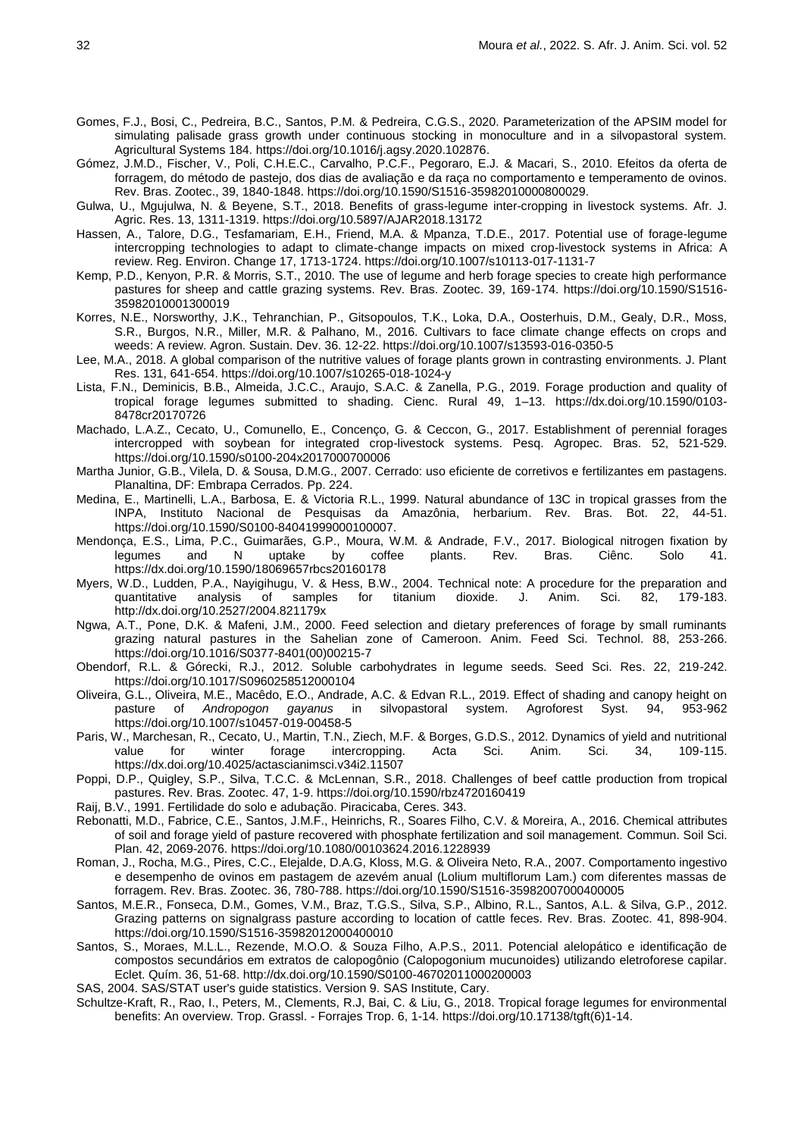- Gomes, F.J., Bosi, C., Pedreira, B.C., Santos, P.M. & Pedreira, C.G.S., 2020. Parameterization of the APSIM model for simulating palisade grass growth under continuous stocking in monoculture and in a silvopastoral system. Agricultural Systems 184[. https://doi.org/10.1016/j.agsy.2020.102876.](https://doi.org/10.1016/j.agsy.2020.102876)
- Gómez, J.M.D., Fischer, V., Poli, C.H.E.C., Carvalho, P.C.F., Pegoraro, E.J. & Macari, S., 2010. Efeitos da oferta de forragem, do método de pastejo, dos dias de avaliação e da raça no comportamento e temperamento de ovinos. Rev. Bras. Zootec., 39, 1840-1848. https://doi.org/10.1590/S1516-35982010000800029.
- Gulwa, U., Mgujulwa, N. & Beyene, S.T., 2018. Benefits of grass-legume inter-cropping in livestock systems. Afr. J. Agric. Res. 13, 1311-1319. https://doi.org/10.5897/AJAR2018.13172
- Hassen, A., Talore, D.G., Tesfamariam, E.H., Friend, M.A. & Mpanza, T.D.E., 2017. Potential use of forage-legume intercropping technologies to adapt to climate-change impacts on mixed crop-livestock systems in Africa: A review. Reg. Environ. Change 17, 1713-1724. https://doi.org/10.1007/s10113-017-1131-7
- Kemp, P.D., Kenyon, P.R. & Morris, S.T., 2010. The use of legume and herb forage species to create high performance pastures for sheep and cattle grazing systems. Rev. Bras. Zootec. 39, 169-174. https://doi.org/10.1590/S1516- 35982010001300019
- Korres, N.E., Norsworthy, J.K., Tehranchian, P., Gitsopoulos, T.K., Loka, D.A., Oosterhuis, D.M., Gealy, D.R., Moss, S.R., Burgos, N.R., Miller, M.R. & Palhano, M., 2016. Cultivars to face climate change effects on crops and weeds: A review. Agron. Sustain. Dev. 36. 12-22. https://doi.org/10.1007/s13593-016-0350-5
- Lee, M.A., 2018. A global comparison of the nutritive values of forage plants grown in contrasting environments. J. Plant Res. 131, 641-654. https://doi.org/10.1007/s10265-018-1024-y
- Lista, F.N., Deminicis, B.B., Almeida, J.C.C., Araujo, S.A.C. & Zanella, P.G., 2019. Forage production and quality of tropical forage legumes submitted to shading. Cienc. Rural 49, 1–13. https://dx.doi.org/10.1590/0103- 8478cr20170726
- Machado, L.A.Z., Cecato, U., Comunello, E., Concenço, G. & Ceccon, G., 2017. Establishment of perennial forages intercropped with soybean for integrated crop-livestock systems. Pesq. Agropec. Bras. 52, 521-529. https://doi.org/10.1590/s0100-204x2017000700006
- Martha Junior, G.B., Vilela, D. & Sousa, D.M.G., 2007. Cerrado: uso eficiente de corretivos e fertilizantes em pastagens. Planaltina, DF: Embrapa Cerrados. Pp. 224.
- Medina, E., Martinelli, L.A., Barbosa, E. & Victoria R.L., 1999. Natural abundance of 13C in tropical grasses from the INPA, Instituto Nacional de Pesquisas da Amazônia, herbarium. Rev. Bras. Bot. 22, 44-51. https://doi.org/10.1590/S0100-84041999000100007.
- Mendonça, E.S., Lima, P.C., Guimarães, G.P., Moura, W.M. & Andrade, F.V., 2017. Biological nitrogen fixation by legumes and N uptake by coffee plants. Rev. Bras. Ciênc. Solo 41. https://dx.doi.org/10.1590/18069657rbcs20160178
- Myers, W.D., Ludden, P.A., Nayigihugu, V. & Hess, B.W., 2004. Technical note: A procedure for the preparation and quantitative analysis of samples for titanium dioxide. J. Anim. Sci. 82, 179-183. http://dx.doi.org/10.2527/2004.821179x
- Ngwa, A.T., Pone, D.K. & Mafeni, J.M., 2000. Feed selection and dietary preferences of forage by small ruminants grazing natural pastures in the Sahelian zone of Cameroon. Anim. Feed Sci. Technol. 88, 253-266. https://doi.org/10.1016/S0377-8401(00)00215-7
- Obendorf, R.L. & Górecki, R.J., 2012. Soluble carbohydrates in legume seeds. Seed Sci. Res. 22, 219-242. https://doi.org/10.1017/S0960258512000104
- Oliveira, G.L., Oliveira, M.E., Macêdo, E.O., Andrade, A.C. & Edvan R.L., 2019. Effect of shading and canopy height on pasture of *Andropogon gayanus* in silvopastoral system. Agroforest Syst. 94, 953-962 https://doi.org/10.1007/s10457-019-00458-5
- Paris, W., Marchesan, R., Cecato, U., Martin, T.N., Ziech, M.F. & Borges, G.D.S., 2012. Dynamics of yield and nutritional value for winter forage intercropping. Acta Sci. Anim. Sci. 34, 109-115. https://dx.doi.org/10.4025/actascianimsci.v34i2.11507
- Poppi, D.P., Quigley, S.P., Silva, T.C.C. & McLennan, S.R., 2018. Challenges of beef cattle production from tropical pastures. Rev. Bras. Zootec. 47, 1-9. https://doi.org/10.1590/rbz4720160419
- Raij, B.V., 1991. Fertilidade do solo e adubação. Piracicaba, Ceres. 343.
- Rebonatti, M.D., Fabrice, C.E., Santos, J.M.F., Heinrichs, R., Soares Filho, C.V. & Moreira, A., 2016. Chemical attributes of soil and forage yield of pasture recovered with phosphate fertilization and soil management. Commun. Soil Sci. Plan. 42, 2069-2076. https://doi.org/10.1080/00103624.2016.1228939
- Roman, J., Rocha, M.G., Pires, C.C., Elejalde, D.A.G, Kloss, M.G. & Oliveira Neto, R.A., 2007. Comportamento ingestivo e desempenho de ovinos em pastagem de azevém anual (Lolium multiflorum Lam.) com diferentes massas de forragem. Rev. Bras. Zootec. 36, 780-788. https://doi.org/10.1590/S1516-35982007000400005
- Santos, M.E.R., Fonseca, D.M., Gomes, V.M., Braz, T.G.S., Silva, S.P., Albino, R.L., Santos, A.L. & Silva, G.P., 2012. Grazing patterns on signalgrass pasture according to location of cattle feces. Rev. Bras. Zootec. 41, 898-904. https://doi.org/10.1590/S1516-35982012000400010
- Santos, S., Moraes, M.L.L., Rezende, M.O.O. & Souza Filho, A.P.S., 2011. Potencial alelopático e identificação de compostos secundários em extratos de calopogônio (Calopogonium mucunoides) utilizando eletroforese capilar. Eclet. Quím. 36, 51-68. http://dx.doi.org/10.1590/S0100-46702011000200003
- SAS, 2004. SAS/STAT user's guide statistics. Version 9. SAS Institute, Cary.
- Schultze-Kraft, R., Rao, I., Peters, M., Clements, R.J, Bai, C. & Liu, G., 2018. Tropical forage legumes for environmental benefits: An overview. Trop. Grassl. - Forrajes Trop. 6, 1-14. https://doi.org/10.17138/tgft(6)1-14.